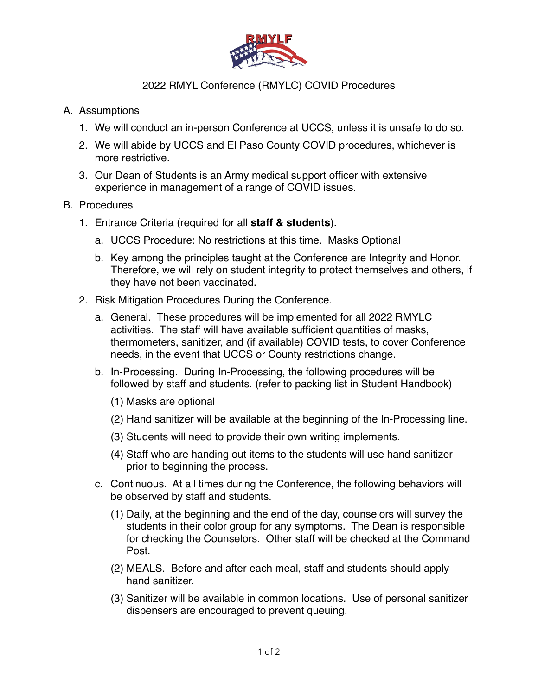

## 2022 RMYL Conference (RMYLC) COVID Procedures

## A. Assumptions

- 1. We will conduct an in-person Conference at UCCS, unless it is unsafe to do so.
- 2. We will abide by UCCS and El Paso County COVID procedures, whichever is more restrictive.
- 3. Our Dean of Students is an Army medical support officer with extensive experience in management of a range of COVID issues.

## B. Procedures

- 1. Entrance Criteria (required for all **staff & students**).
	- a. UCCS Procedure: No restrictions at this time. Masks Optional
	- b. Key among the principles taught at the Conference are Integrity and Honor. Therefore, we will rely on student integrity to protect themselves and others, if they have not been vaccinated.
- 2. Risk Mitigation Procedures During the Conference.
	- a. General. These procedures will be implemented for all 2022 RMYLC activities. The staff will have available sufficient quantities of masks, thermometers, sanitizer, and (if available) COVID tests, to cover Conference needs, in the event that UCCS or County restrictions change.
	- b. In-Processing. During In-Processing, the following procedures will be followed by staff and students. (refer to packing list in Student Handbook)
		- (1) Masks are optional
		- (2) Hand sanitizer will be available at the beginning of the In-Processing line.
		- (3) Students will need to provide their own writing implements.
		- (4) Staff who are handing out items to the students will use hand sanitizer prior to beginning the process.
	- c. Continuous. At all times during the Conference, the following behaviors will be observed by staff and students.
		- (1) Daily, at the beginning and the end of the day, counselors will survey the students in their color group for any symptoms. The Dean is responsible for checking the Counselors. Other staff will be checked at the Command Post.
		- (2) MEALS. Before and after each meal, staff and students should apply hand sanitizer.
		- (3) Sanitizer will be available in common locations. Use of personal sanitizer dispensers are encouraged to prevent queuing.